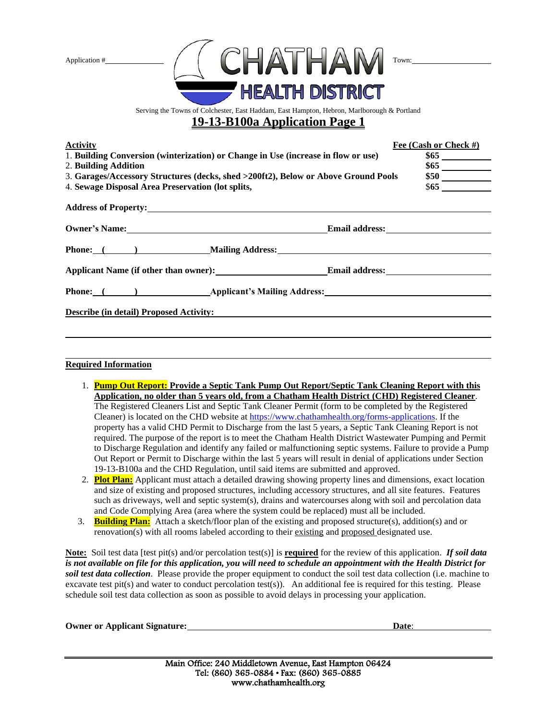

Serving the Towns of Colchester, East Haddam, East Hampton, Hebron, Marlborough & Portland

## **19-13-B100a Application Page 1**

| <b>Activity</b><br>1. Building Conversion (winterization) or Change in Use (increase in flow or use)<br>2. Building Addition<br>3. Garages/Accessory Structures (decks, shed >200ft2), Below or Above Ground Pools<br>4. Sewage Disposal Area Preservation (lot splits, | Fee (Cash or Check #)<br>$\frac{$50}{$65}$ |
|-------------------------------------------------------------------------------------------------------------------------------------------------------------------------------------------------------------------------------------------------------------------------|--------------------------------------------|
|                                                                                                                                                                                                                                                                         |                                            |
| Owner's Name: Communication of the Email address: Communication of the Email address:                                                                                                                                                                                   |                                            |
| Phone: ( ) Mailing Address:                                                                                                                                                                                                                                             |                                            |
| Applicant Name (if other than owner): Email address: Email and Solution of the Contract of the Contract of the Contract of the Contract of the Contract of the Contract of the Contract of the Contract of the Contract of the                                          |                                            |
| Phone: ( ) Applicant's Mailing Address:                                                                                                                                                                                                                                 |                                            |
| <b>Describe (in detail) Proposed Activity:</b> No. 2014 19:30 and 2014 19:30 and 2014 19:30 and 2014 19:30 and 2014 19:30 and 2014 19:30 and 2014 19:30 and 2014 19:30 and 2014 19:30 and 2014 19:30 and 2014 19:30 and 2014 19:30                                      |                                            |
|                                                                                                                                                                                                                                                                         |                                            |

## **Required Information**

- 1. **Pump Out Report: Provide a Septic Tank Pump Out Report/Septic Tank Cleaning Report with this Application, no older than 5 years old, from a Chatham Health District (CHD) Registered Cleaner**. The Registered Cleaners List and Septic Tank Cleaner Permit (form to be completed by the Registered Cleaner) is located on the CHD website at [https://www.chathamhealth.org/forms-applications.](https://www.chathamhealth.org/forms-applications) If the property has a valid CHD Permit to Discharge from the last 5 years, a Septic Tank Cleaning Report is not required. The purpose of the report is to meet the Chatham Health District Wastewater Pumping and Permit to Discharge Regulation and identify any failed or malfunctioning septic systems. Failure to provide a Pump Out Report or Permit to Discharge within the last 5 years will result in denial of applications under Section 19-13-B100a and the CHD Regulation, until said items are submitted and approved.
- 2. **Plot Plan:** Applicant must attach a detailed drawing showing property lines and dimensions, exact location and size of existing and proposed structures, including accessory structures, and all site features. Features such as driveways, well and septic system(s), drains and watercourses along with soil and percolation data and Code Complying Area (area where the system could be replaced) must all be included.
- 3. **Building Plan:** Attach a sketch/floor plan of the existing and proposed structure(s), addition(s) and or renovation(s) with all rooms labeled according to their existing and proposed designated use.

**Note:** Soil test data [test pit(s) and/or percolation test(s)] is **required** for the review of this application. *If soil data is not available on file for this application, you will need to schedule an appointment with the Health District for soil test data collection*. Please provide the proper equipment to conduct the soil test data collection (i.e. machine to excavate test pit(s) and water to conduct percolation test(s)). An additional fee is required for this testing. Please schedule soil test data collection as soon as possible to avoid delays in processing your application.

**Owner or Applicant Signature: Date**: **Date**: **Date**: **Date**: **Date**: **Date**: **Date**: **Date**: **Date**: **Date**: **Date**: **Date**: **Date**: **Date**: **Date**: **Date**: **Date**: **Date**: **Date**: **Date**: **Date**: **Date**: **Date**: **Date**